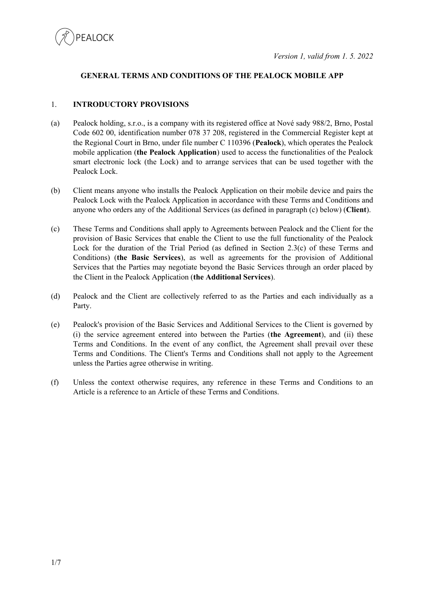

## **GENERAL TERMS AND CONDITIONS OF THE PEALOCK MOBILE APP**

## 1. **INTRODUCTORY PROVISIONS**

- (a) Pealock holding, s.r.o., is a company with its registered office at Nové sady 988/2, Brno, Postal Code 602 00, identification number 078 37 208, registered in the Commercial Register kept at the Regional Court in Brno, under file number C 110396 (**Pealock**), which operates the Pealock mobile application (**the Pealock Application**) used to access the functionalities of the Pealock smart electronic lock (the Lock) and to arrange services that can be used together with the Pealock Lock.
- (b) Client means anyone who installs the Pealock Application on their mobile device and pairs the Pealock Lock with the Pealock Application in accordance with these Terms and Conditions and anyone who orders any of the Additional Services (as defined in paragraph (c) below) (**Client**).
- (c) These Terms and Conditions shall apply to Agreements between Pealock and the Client for the provision of Basic Services that enable the Client to use the full functionality of the Pealock Lock for the duration of the Trial Period (as defined in Section 2.3(c) of these Terms and Conditions) (**the Basic Services**), as well as agreements for the provision of Additional Services that the Parties may negotiate beyond the Basic Services through an order placed by the Client in the Pealock Application (**the Additional Services**).
- (d) Pealock and the Client are collectively referred to as the Parties and each individually as a Party.
- (e) Pealock's provision of the Basic Services and Additional Services to the Client is governed by (i) the service agreement entered into between the Parties (**the Agreement**), and (ii) these Terms and Conditions. In the event of any conflict, the Agreement shall prevail over these Terms and Conditions. The Client's Terms and Conditions shall not apply to the Agreement unless the Parties agree otherwise in writing.
- (f) Unless the context otherwise requires, any reference in these Terms and Conditions to an Article is a reference to an Article of these Terms and Conditions.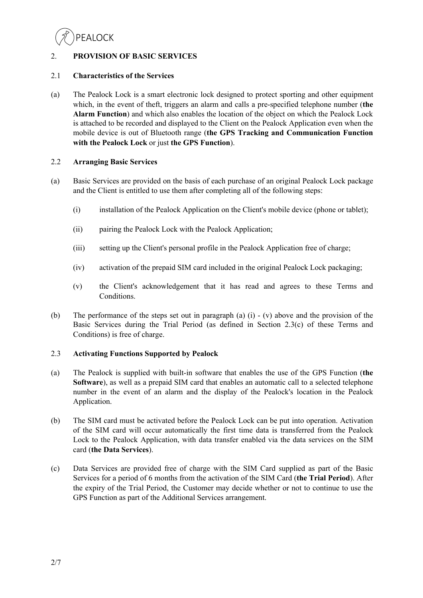

# 2. **PROVISION OF BASIC SERVICES**

## 2.1 **Characteristics of the Services**

(a) The Pealock Lock is a smart electronic lock designed to protect sporting and other equipment which, in the event of theft, triggers an alarm and calls a pre-specified telephone number (**the Alarm Function**) and which also enables the location of the object on which the Pealock Lock is attached to be recorded and displayed to the Client on the Pealock Application even when the mobile device is out of Bluetooth range (**the GPS Tracking and Communication Function with the Pealock Lock** or just **the GPS Function**).

## 2.2 **Arranging Basic Services**

- (a) Basic Services are provided on the basis of each purchase of an original Pealock Lock package and the Client is entitled to use them after completing all of the following steps:
	- (i) installation of the Pealock Application on the Client's mobile device (phone or tablet);
	- (ii) pairing the Pealock Lock with the Pealock Application;
	- (iii) setting up the Client's personal profile in the Pealock Application free of charge;
	- (iv) activation of the prepaid SIM card included in the original Pealock Lock packaging;
	- (v) the Client's acknowledgement that it has read and agrees to these Terms and Conditions.
- (b) The performance of the steps set out in paragraph (a) (i) (v) above and the provision of the Basic Services during the Trial Period (as defined in Section  $2.3(c)$  of these Terms and Conditions) is free of charge.

# 2.3 **Activating Functions Supported by Pealock**

- (a) The Pealock is supplied with built-in software that enables the use of the GPS Function (**the Software**), as well as a prepaid SIM card that enables an automatic call to a selected telephone number in the event of an alarm and the display of the Pealock's location in the Pealock Application.
- (b) The SIM card must be activated before the Pealock Lock can be put into operation. Activation of the SIM card will occur automatically the first time data is transferred from the Pealock Lock to the Pealock Application, with data transfer enabled via the data services on the SIM card (**the Data Services**).
- (c) Data Services are provided free of charge with the SIM Card supplied as part of the Basic Services for a period of 6 months from the activation of the SIM Card (**the Trial Period**). After the expiry of the Trial Period, the Customer may decide whether or not to continue to use the GPS Function as part of the Additional Services arrangement.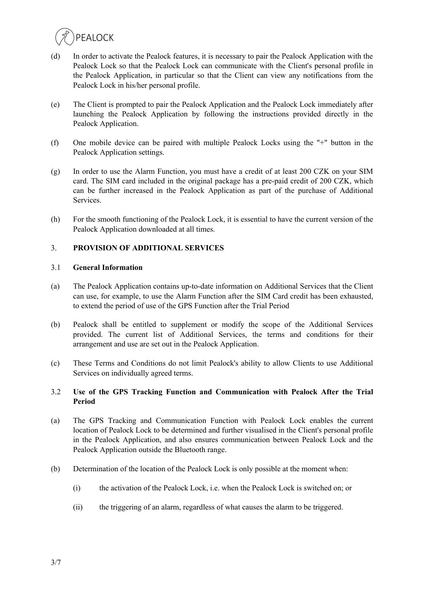

- (d) In order to activate the Pealock features, it is necessary to pair the Pealock Application with the Pealock Lock so that the Pealock Lock can communicate with the Client's personal profile in the Pealock Application, in particular so that the Client can view any notifications from the Pealock Lock in his/her personal profile.
- (e) The Client is prompted to pair the Pealock Application and the Pealock Lock immediately after launching the Pealock Application by following the instructions provided directly in the Pealock Application.
- (f) One mobile device can be paired with multiple Pealock Locks using the "+" button in the Pealock Application settings.
- (g) In order to use the Alarm Function, you must have a credit of at least 200 CZK on your SIM card. The SIM card included in the original package has a pre-paid credit of 200 CZK, which can be further increased in the Pealock Application as part of the purchase of Additional Services.
- (h) For the smooth functioning of the Pealock Lock, it is essential to have the current version of the Pealock Application downloaded at all times.

# 3. **PROVISION OF ADDITIONAL SERVICES**

## 3.1 **General Information**

- (a) The Pealock Application contains up-to-date information on Additional Services that the Client can use, for example, to use the Alarm Function after the SIM Card credit has been exhausted, to extend the period of use of the GPS Function after the Trial Period
- (b) Pealock shall be entitled to supplement or modify the scope of the Additional Services provided. The current list of Additional Services, the terms and conditions for their arrangement and use are set out in the Pealock Application.
- (c) These Terms and Conditions do not limit Pealock's ability to allow Clients to use Additional Services on individually agreed terms.

## 3.2 **Use of the GPS Tracking Function and Communication with Pealock After the Trial Period**

- (a) The GPS Tracking and Communication Function with Pealock Lock enables the current location of Pealock Lock to be determined and further visualised in the Client's personal profile in the Pealock Application, and also ensures communication between Pealock Lock and the Pealock Application outside the Bluetooth range.
- (b) Determination of the location of the Pealock Lock is only possible at the moment when:
	- (i) the activation of the Pealock Lock, i.e. when the Pealock Lock is switched on; or
	- (ii) the triggering of an alarm, regardless of what causes the alarm to be triggered.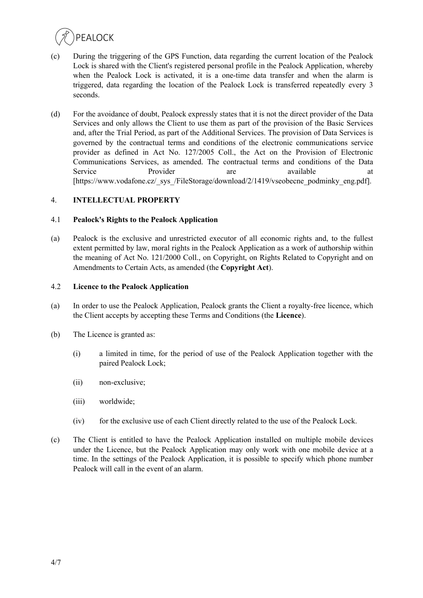

- (c) During the triggering of the GPS Function, data regarding the current location of the Pealock Lock is shared with the Client's registered personal profile in the Pealock Application, whereby when the Pealock Lock is activated, it is a one-time data transfer and when the alarm is triggered, data regarding the location of the Pealock Lock is transferred repeatedly every 3 seconds.
- (d) For the avoidance of doubt, Pealock expressly states that it is not the direct provider of the Data Services and only allows the Client to use them as part of the provision of the Basic Services and, after the Trial Period, as part of the Additional Services. The provision of Data Services is governed by the contractual terms and conditions of the electronic communications service provider as defined in Act No. 127/2005 Coll., the Act on the Provision of Electronic Communications Services, as amended. The contractual terms and conditions of the Data Service Provider are available at [https://www.vodafone.cz/\_sys\_/FileStorage/download/2/1419/vseobecne\_podminky\_eng.pdf].

# 4. **INTELLECTUAL PROPERTY**

## 4.1 **Pealock's Rights to the Pealock Application**

(a) Pealock is the exclusive and unrestricted executor of all economic rights and, to the fullest extent permitted by law, moral rights in the Pealock Application as a work of authorship within the meaning of Act No. 121/2000 Coll., on Copyright, on Rights Related to Copyright and on Amendments to Certain Acts, as amended (the **Copyright Act**).

## 4.2 **Licence to the Pealock Application**

- (a) In order to use the Pealock Application, Pealock grants the Client a royalty-free licence, which the Client accepts by accepting these Terms and Conditions (the **Licence**).
- (b) The Licence is granted as:
	- (i) a limited in time, for the period of use of the Pealock Application together with the paired Pealock Lock;
	- (ii) non-exclusive;
	- (iii) worldwide;
	- (iv) for the exclusive use of each Client directly related to the use of the Pealock Lock.
- (c) The Client is entitled to have the Pealock Application installed on multiple mobile devices under the Licence, but the Pealock Application may only work with one mobile device at a time. In the settings of the Pealock Application, it is possible to specify which phone number Pealock will call in the event of an alarm.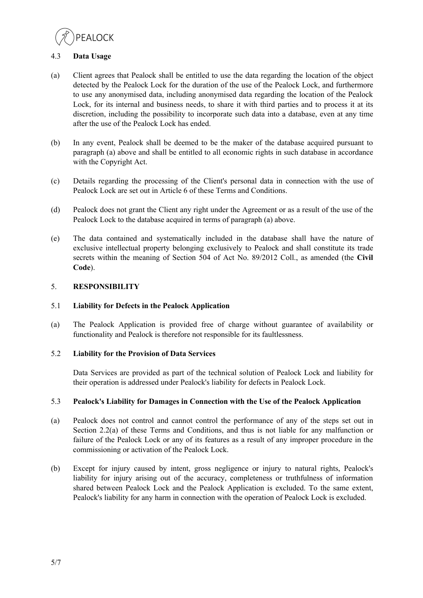

# 4.3 **Data Usage**

- (a) Client agrees that Pealock shall be entitled to use the data regarding the location of the object detected by the Pealock Lock for the duration of the use of the Pealock Lock, and furthermore to use any anonymised data, including anonymised data regarding the location of the Pealock Lock, for its internal and business needs, to share it with third parties and to process it at its discretion, including the possibility to incorporate such data into a database, even at any time after the use of the Pealock Lock has ended.
- (b) In any event, Pealock shall be deemed to be the maker of the database acquired pursuant to paragraph (a) above and shall be entitled to all economic rights in such database in accordance with the Copyright Act.
- (c) Details regarding the processing of the Client's personal data in connection with the use of Pealock Lock are set out in Article 6 of these Terms and Conditions.
- (d) Pealock does not grant the Client any right under the Agreement or as a result of the use of the Pealock Lock to the database acquired in terms of paragraph (a) above.
- (e) The data contained and systematically included in the database shall have the nature of exclusive intellectual property belonging exclusively to Pealock and shall constitute its trade secrets within the meaning of Section 504 of Act No. 89/2012 Coll., as amended (the **Civil Code**).

# 5. **RESPONSIBILITY**

## 5.1 **Liability for Defects in the Pealock Application**

(a) The Pealock Application is provided free of charge without guarantee of availability or functionality and Pealock is therefore not responsible for its faultlessness.

## 5.2 **Liability for the Provision of Data Services**

Data Services are provided as part of the technical solution of Pealock Lock and liability for their operation is addressed under Pealock's liability for defects in Pealock Lock.

## 5.3 **Pealock's Liability for Damages in Connection with the Use of the Pealock Application**

- (a) Pealock does not control and cannot control the performance of any of the steps set out in Section 2.2(a) of these Terms and Conditions, and thus is not liable for any malfunction or failure of the Pealock Lock or any of its features as a result of any improper procedure in the commissioning or activation of the Pealock Lock.
- (b) Except for injury caused by intent, gross negligence or injury to natural rights, Pealock's liability for injury arising out of the accuracy, completeness or truthfulness of information shared between Pealock Lock and the Pealock Application is excluded. To the same extent, Pealock's liability for any harm in connection with the operation of Pealock Lock is excluded.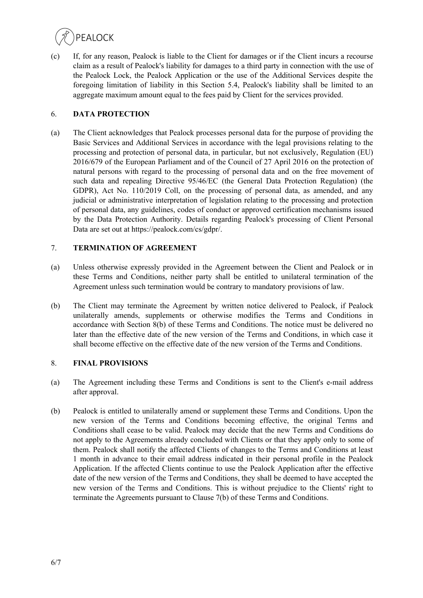

(c) If, for any reason, Pealock is liable to the Client for damages or if the Client incurs a recourse claim as a result of Pealock's liability for damages to a third party in connection with the use of the Pealock Lock, the Pealock Application or the use of the Additional Services despite the foregoing limitation of liability in this Section 5.4, Pealock's liability shall be limited to an aggregate maximum amount equal to the fees paid by Client for the services provided.

## 6. **DATA PROTECTION**

(a) The Client acknowledges that Pealock processes personal data for the purpose of providing the Basic Services and Additional Services in accordance with the legal provisions relating to the processing and protection of personal data, in particular, but not exclusively, Regulation (EU) 2016/679 of the European Parliament and of the Council of 27 April 2016 on the protection of natural persons with regard to the processing of personal data and on the free movement of such data and repealing Directive 95/46/EC (the General Data Protection Regulation) (the GDPR), Act No. 110/2019 Coll, on the processing of personal data, as amended, and any judicial or administrative interpretation of legislation relating to the processing and protection of personal data, any guidelines, codes of conduct or approved certification mechanisms issued by the Data Protection Authority. Details regarding Pealock's processing of Client Personal Data are set out at https://pealock.com/cs/gdpr/.

## 7. **TERMINATION OF AGREEMENT**

- (a) Unless otherwise expressly provided in the Agreement between the Client and Pealock or in these Terms and Conditions, neither party shall be entitled to unilateral termination of the Agreement unless such termination would be contrary to mandatory provisions of law.
- (b) The Client may terminate the Agreement by written notice delivered to Pealock, if Pealock unilaterally amends, supplements or otherwise modifies the Terms and Conditions in accordance with Section 8(b) of these Terms and Conditions. The notice must be delivered no later than the effective date of the new version of the Terms and Conditions, in which case it shall become effective on the effective date of the new version of the Terms and Conditions.

## 8. **FINAL PROVISIONS**

- (a) The Agreement including these Terms and Conditions is sent to the Client's e-mail address after approval.
- (b) Pealock is entitled to unilaterally amend or supplement these Terms and Conditions. Upon the new version of the Terms and Conditions becoming effective, the original Terms and Conditions shall cease to be valid. Pealock may decide that the new Terms and Conditions do not apply to the Agreements already concluded with Clients or that they apply only to some of them. Pealock shall notify the affected Clients of changes to the Terms and Conditions at least 1 month in advance to their email address indicated in their personal profile in the Pealock Application. If the affected Clients continue to use the Pealock Application after the effective date of the new version of the Terms and Conditions, they shall be deemed to have accepted the new version of the Terms and Conditions. This is without prejudice to the Clients' right to terminate the Agreements pursuant to Clause 7(b) of these Terms and Conditions.